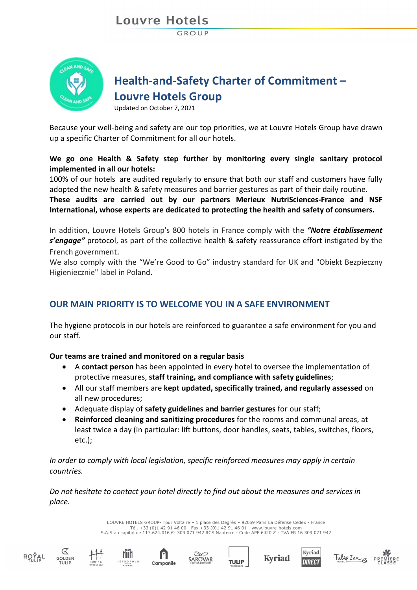# Louvre Hotels

GROUP



## **Health-and-Safety Charter of Commitment – Louvre Hotels Group**

Updated on October 7, 2021

Because your well-being and safety are our top priorities, we at Louvre Hotels Group have drawn up a specific Charter of Commitment for all our hotels.

### **We go one Health & Safety step further by monitoring every single sanitary protocol implemented in all our hotels:**

100% of our hotels are audited regularly to ensure that both our staff and customers have fully adopted the [new health & safety measures](http://links.info.louvre-hotels.com/ctt?ms=OTg2OTQ0NAS2&kn=9&r=NDA5MDA1NzQyMjk5S0&b=0&j=MTU1MDgyMzY2OAS2&mt=1&rt=0) and barrier gestures as part of their daily routine.

**These audits are carried out by our partners Merieux NutriSciences-France and NSF International, whose experts are dedicated to protecting the health and safety of consumers.**

In addition, Louvre Hotels Group's 800 hotels in France comply with the *"Notre établissement s'engage"* protocol, as part of the collective health & safety reassurance effort instigated by the French government.

We also comply with the "We're Good to Go" industry standard for UK and "Obiekt Bezpieczny Higieniecznie" label in Poland.

## **OUR MAIN PRIORITY IS TO WELCOME YOU IN A SAFE ENVIRONMENT**

The hygiene protocols in our hotels are reinforced to guarantee a safe environment for you and our staff.

**Our teams are trained and monitored on a regular basis**

- A **contact person** has been appointed in every hotel to oversee the implementation of protective measures, **staff training, and compliance with safety guidelines**;
- All our staff members are **kept updated, specifically trained, and regularly assessed** on all new procedures;
- Adequate display of **safety guidelines and barrier gestures** for our staff;
- **Reinforced cleaning and sanitizing procedures** for the rooms and communal areas, at least twice a day (in particular: lift buttons, door handles, seats, tables, switches, floors, etc.);

*In order to comply with local legislation, specific reinforced measures may apply in certain countries.*

*Do not hesitate to contact your hotel directly to find out about the measures and services in place.*

> LOUVRE HOTELS GROUP- Tour Voltaire – 1 place des Degrés – 92059 Paris La Défense Cedex - France Tél. +33 (0)1 42 91 46 00 - Fax +33 (0)1 42 91 46 01 - www.louvre-hotels.com S.A.S au capital de 117.624.016 €- 309 071 942 RCS Nanterre - Code APE 6420 Z - TVA FR 16 309 071 942